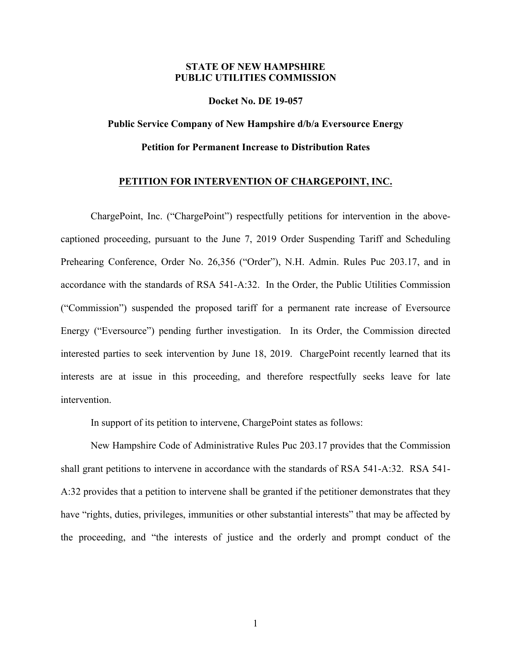## **STATE OF NEW HAMPSHIRE PUBLIC UTILITIES COMMISSION**

**Docket No. DE 19-057**

## **Public Service Company of New Hampshire d/b/a Eversource Energy Petition for Permanent Increase to Distribution Rates**

## **PETITION FOR INTERVENTION OF CHARGEPOINT, INC.**

ChargePoint, Inc. ("ChargePoint") respectfully petitions for intervention in the abovecaptioned proceeding, pursuant to the June 7, 2019 Order Suspending Tariff and Scheduling Prehearing Conference, Order No. 26,356 ("Order"), N.H. Admin. Rules Puc 203.17, and in accordance with the standards of RSA 541-A:32. In the Order, the Public Utilities Commission ("Commission") suspended the proposed tariff for a permanent rate increase of Eversource Energy ("Eversource") pending further investigation. In its Order, the Commission directed interested parties to seek intervention by June 18, 2019. ChargePoint recently learned that its interests are at issue in this proceeding, and therefore respectfully seeks leave for late intervention.

In support of its petition to intervene, ChargePoint states as follows:

New Hampshire Code of Administrative Rules Puc 203.17 provides that the Commission shall grant petitions to intervene in accordance with the standards of RSA 541-A:32. RSA 541- A:32 provides that a petition to intervene shall be granted if the petitioner demonstrates that they have "rights, duties, privileges, immunities or other substantial interests" that may be affected by the proceeding, and "the interests of justice and the orderly and prompt conduct of the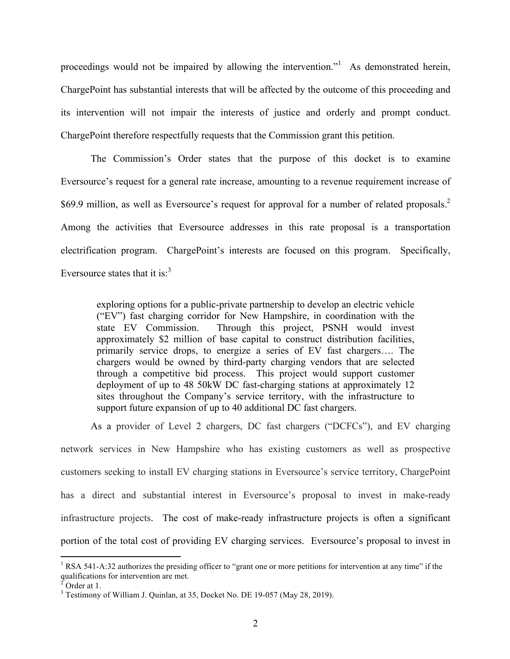proceedings would not be impaired by allowing the intervention." As demonstrated herein, ChargePoint has substantial interests that will be affected by the outcome of this proceeding and its intervention will not impair the interests of justice and orderly and prompt conduct. ChargePoint therefore respectfully requests that the Commission grant this petition.

The Commission's Order states that the purpose of this docket is to examine Eversource's request for a general rate increase, amounting to a revenue requirement increase of \$69.9 million, as well as Eversource's request for approval for a number of related proposals.<sup>2</sup> Among the activities that Eversource addresses in this rate proposal is a transportation electrification program. ChargePoint's interests are focused on this program. Specifically, Eversource states that it is: $3<sup>3</sup>$ 

exploring options for a public-private partnership to develop an electric vehicle ("EV") fast charging corridor for New Hampshire, in coordination with the state EV Commission. Through this project, PSNH would invest approximately \$2 million of base capital to construct distribution facilities, primarily service drops, to energize a series of EV fast chargers…. The chargers would be owned by third-party charging vendors that are selected through a competitive bid process. This project would support customer deployment of up to 48 50kW DC fast-charging stations at approximately 12 sites throughout the Company's service territory, with the infrastructure to support future expansion of up to 40 additional DC fast chargers.

As a provider of Level 2 chargers, DC fast chargers ("DCFCs"), and EV charging network services in New Hampshire who has existing customers as well as prospective customers seeking to install EV charging stations in Eversource's service territory, ChargePoint has a direct and substantial interest in Eversource's proposal to invest in make-ready infrastructure projects. The cost of make-ready infrastructure projects is often a significant portion of the total cost of providing EV charging services. Eversource's proposal to invest in

<sup>&</sup>lt;sup>1</sup> RSA 541-A:32 authorizes the presiding officer to "grant one or more petitions for intervention at any time" if the qualifications for intervention are met.<br> $2^2$  Order at 1.

<sup>3</sup> Testimony of William J. Quinlan, at 35, Docket No. DE 19-057 (May 28, 2019).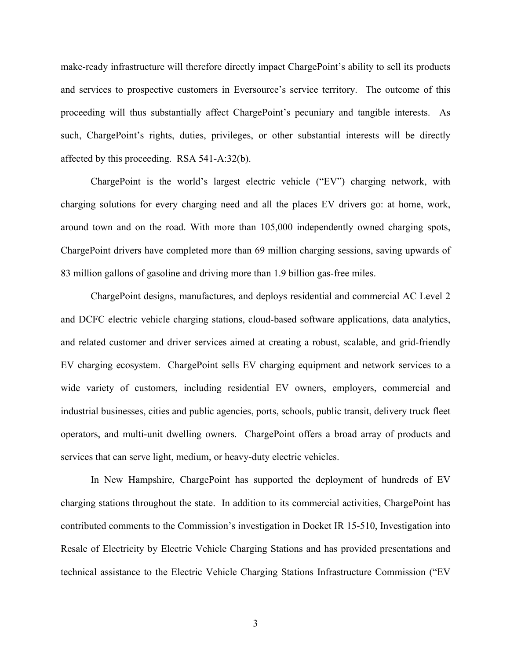make-ready infrastructure will therefore directly impact ChargePoint's ability to sell its products and services to prospective customers in Eversource's service territory. The outcome of this proceeding will thus substantially affect ChargePoint's pecuniary and tangible interests. As such, ChargePoint's rights, duties, privileges, or other substantial interests will be directly affected by this proceeding. RSA 541-A:32(b).

ChargePoint is the world's largest electric vehicle ("EV") charging network, with charging solutions for every charging need and all the places EV drivers go: at home, work, around town and on the road. With more than 105,000 independently owned charging spots, ChargePoint drivers have completed more than 69 million charging sessions, saving upwards of 83 million gallons of gasoline and driving more than 1.9 billion gas-free miles.

ChargePoint designs, manufactures, and deploys residential and commercial AC Level 2 and DCFC electric vehicle charging stations, cloud-based software applications, data analytics, and related customer and driver services aimed at creating a robust, scalable, and grid-friendly EV charging ecosystem. ChargePoint sells EV charging equipment and network services to a wide variety of customers, including residential EV owners, employers, commercial and industrial businesses, cities and public agencies, ports, schools, public transit, delivery truck fleet operators, and multi-unit dwelling owners. ChargePoint offers a broad array of products and services that can serve light, medium, or heavy-duty electric vehicles.

In New Hampshire, ChargePoint has supported the deployment of hundreds of EV charging stations throughout the state. In addition to its commercial activities, ChargePoint has contributed comments to the Commission's investigation in Docket IR 15-510, Investigation into Resale of Electricity by Electric Vehicle Charging Stations and has provided presentations and technical assistance to the Electric Vehicle Charging Stations Infrastructure Commission ("EV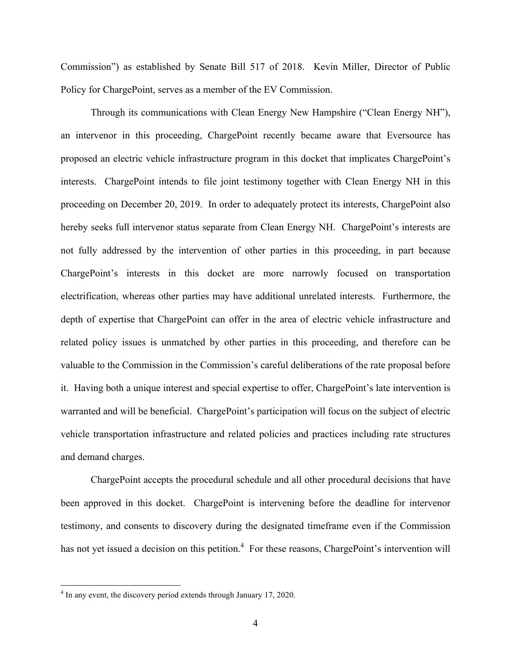Commission") as established by Senate Bill 517 of 2018. Kevin Miller, Director of Public Policy for ChargePoint, serves as a member of the EV Commission.

Through its communications with Clean Energy New Hampshire ("Clean Energy NH"), an intervenor in this proceeding, ChargePoint recently became aware that Eversource has proposed an electric vehicle infrastructure program in this docket that implicates ChargePoint's interests. ChargePoint intends to file joint testimony together with Clean Energy NH in this proceeding on December 20, 2019. In order to adequately protect its interests, ChargePoint also hereby seeks full intervenor status separate from Clean Energy NH. ChargePoint's interests are not fully addressed by the intervention of other parties in this proceeding, in part because ChargePoint's interests in this docket are more narrowly focused on transportation electrification, whereas other parties may have additional unrelated interests. Furthermore, the depth of expertise that ChargePoint can offer in the area of electric vehicle infrastructure and related policy issues is unmatched by other parties in this proceeding, and therefore can be valuable to the Commission in the Commission's careful deliberations of the rate proposal before it. Having both a unique interest and special expertise to offer, ChargePoint's late intervention is warranted and will be beneficial. ChargePoint's participation will focus on the subject of electric vehicle transportation infrastructure and related policies and practices including rate structures and demand charges.

ChargePoint accepts the procedural schedule and all other procedural decisions that have been approved in this docket. ChargePoint is intervening before the deadline for intervenor testimony, and consents to discovery during the designated timeframe even if the Commission has not yet issued a decision on this petition.<sup>4</sup> For these reasons, ChargePoint's intervention will

<sup>&</sup>lt;sup>4</sup> In any event, the discovery period extends through January 17, 2020.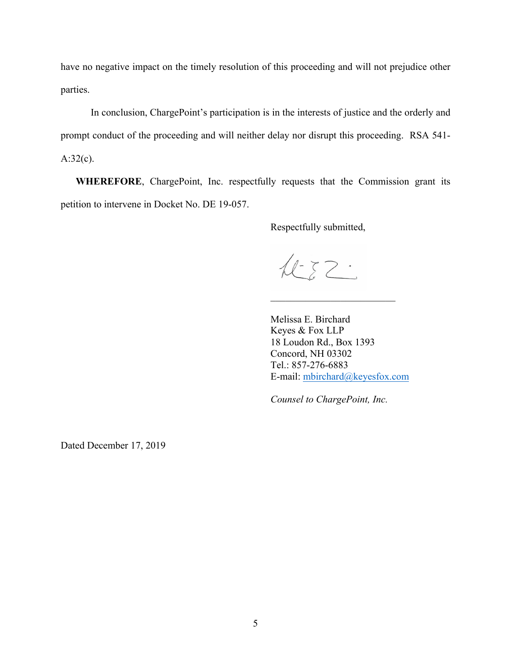have no negative impact on the timely resolution of this proceeding and will not prejudice other parties.

In conclusion, ChargePoint's participation is in the interests of justice and the orderly and prompt conduct of the proceeding and will neither delay nor disrupt this proceeding. RSA 541- A:32(c).

**WHEREFORE**, ChargePoint, Inc. respectfully requests that the Commission grant its petition to intervene in Docket No. DE 19-057.

Respectfully submitted,

 $122$ 

Melissa E. Birchard Keyes & Fox LLP 18 Loudon Rd., Box 1393 Concord, NH 03302 Tel.: 857-276-6883 E-mail: mbirchard@keyesfox.com

 $\mathcal{L}_\text{max}$  , where  $\mathcal{L}_\text{max}$  , we have the set of  $\mathcal{L}_\text{max}$ 

*Counsel to ChargePoint, Inc.*

Dated December 17, 2019